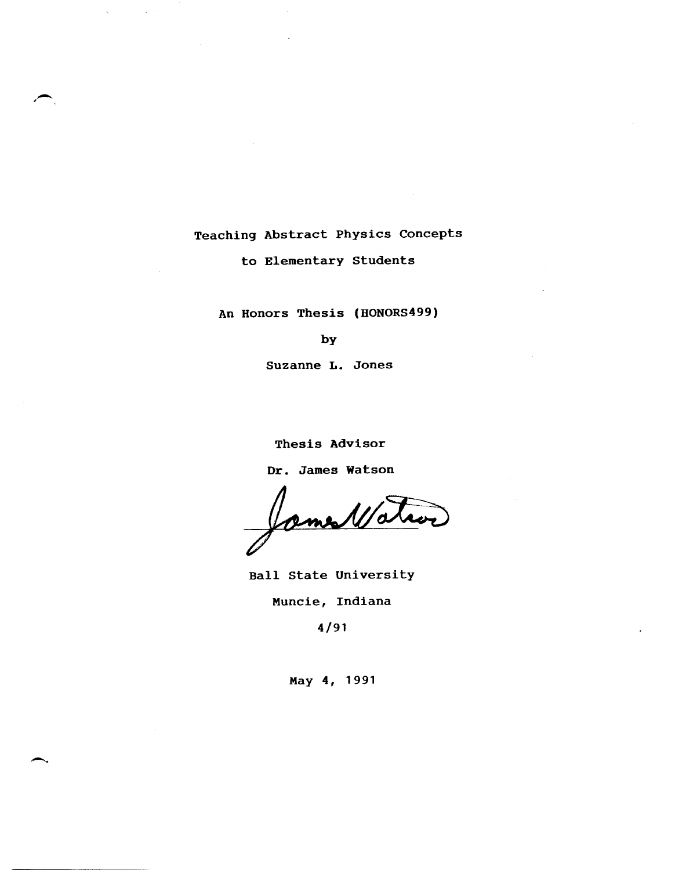Teaching Abstract Physics Concepts

,-

-.

to Elementary Students

An Honors Thesis (HONORS499)

by

Suzanne L. Jones

Thesis Advisor

Dr. James watson

James 11/0

Ball State University

Muncie, Indiana

4/91

May 4, 1991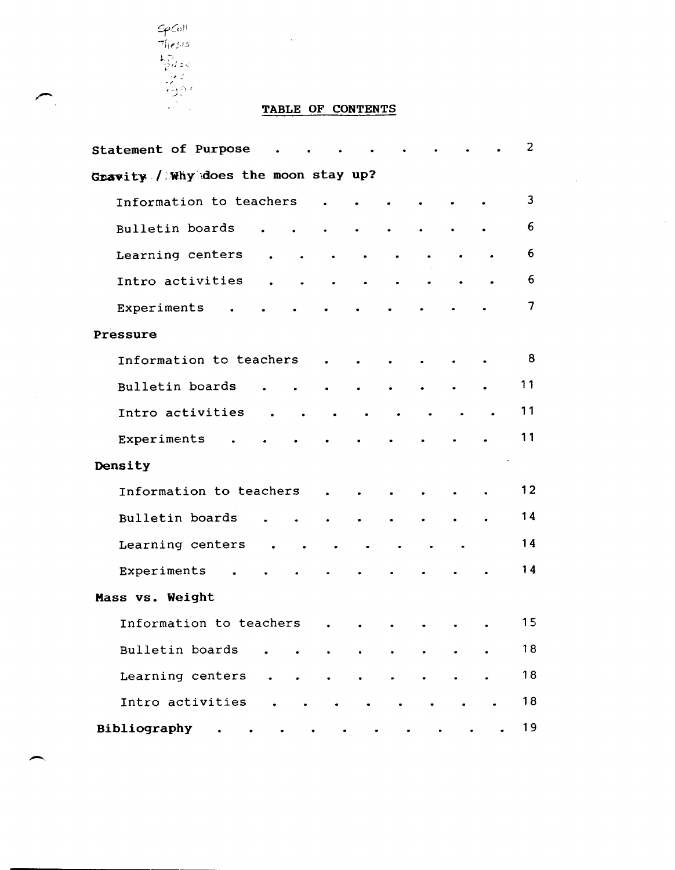

 $\overline{\phantom{0}}$ 

 $\bar{z}$ 

# TABLE OF CONTENTS

 $\bar{\mathcal{A}}$ 

| Statement of Purpose                                                             | 2  |
|----------------------------------------------------------------------------------|----|
| Gravity / Why does the moon stay up?                                             |    |
| Information to teachers<br>$\bullet$                                             | 3  |
| Bulletin boards<br>$\bullet$<br>$\bullet$<br>$\bullet$<br>$\bullet$<br>$\bullet$ | 6  |
| Learning centers<br>$\bullet$<br>$\bullet$<br>$\bullet$<br>$\bullet$             | 6  |
| Intro activities<br>$\bullet$<br>$\bullet$<br>$\bullet$<br>$\bullet$             | 6  |
| Experiments<br>$\bullet$                                                         | 7  |
| Pressure                                                                         |    |
| Information to teachers<br>$\bullet$                                             | 8  |
| Bulletin boards<br>$\bullet$<br>$\bullet$                                        | 11 |
| Intro activities<br>$\sim 100$<br>$\blacksquare$                                 | 11 |
| Experiments<br>$\bullet$                                                         | 11 |
| Density                                                                          |    |
| Information to teachers<br>$\bullet$                                             | 12 |
| Bulletin boards<br>$\bullet$<br>$\bullet$<br>$\bullet$                           | 14 |
| Learning centers<br>$\sim$ $\sim$<br>$\sim$ $\bullet$                            | 14 |
| Experiments                                                                      | 14 |
| Mass vs. Weight                                                                  |    |
| Information to teachers<br>$\ddot{\phantom{0}}$                                  | 15 |
| Bulletin boards                                                                  | 18 |
| Learning centers<br>$\ddot{\phantom{0}}$<br>٠<br>$\bullet$<br>$\bullet$          | 18 |
| Intro activities                                                                 | 18 |
| Bibliography<br>$\bullet$<br>$\bullet$<br>$\bullet$                              | 19 |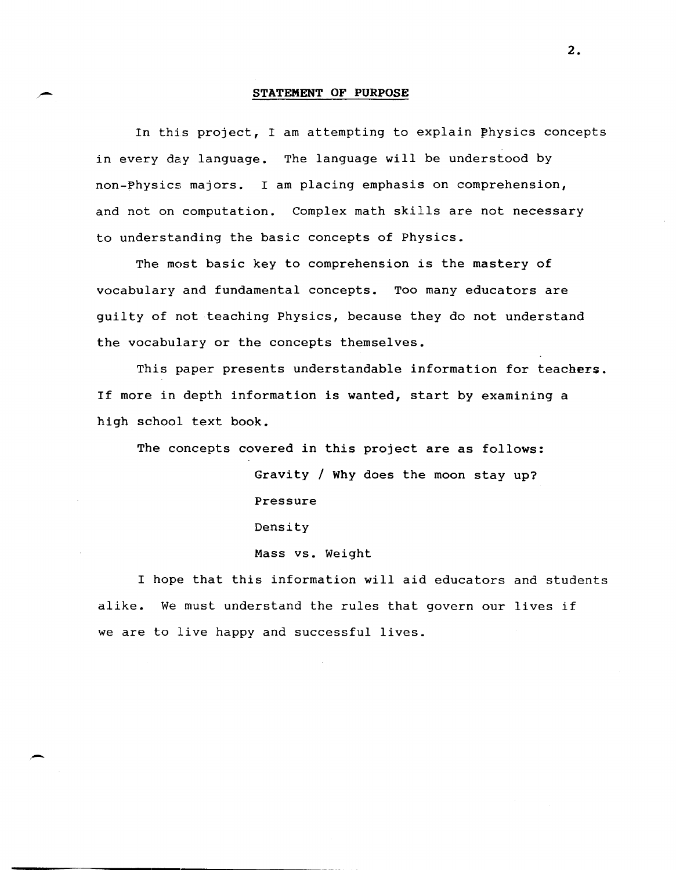#### **STATEMENT OF PURPOSE**

In this project, I am attempting to explain physics concepts in every day language. The language will be understood by non-Physics majors. I am placing emphasis on comprehension, and not on computation. Complex math skills are not necessary to understanding the basic concepts of Physics.

The most basic key to comprehension is the mastery of vocabulary and fundamental concepts. Too many educators are guilty of not teaching Physics, because they do not understand the vocabulary or the concepts themselves.

This paper presents understandable information for teachers. If more in depth information is wanted, start by examining a high school text book.

The concepts covered in this project are as follows:

Gravity / Why does the moon stay up? Pressure Density Mass vs. Weight

I hope that this information will aid educators and students alike. We must understand the rules that govern our lives if we are to live happy and successful lives.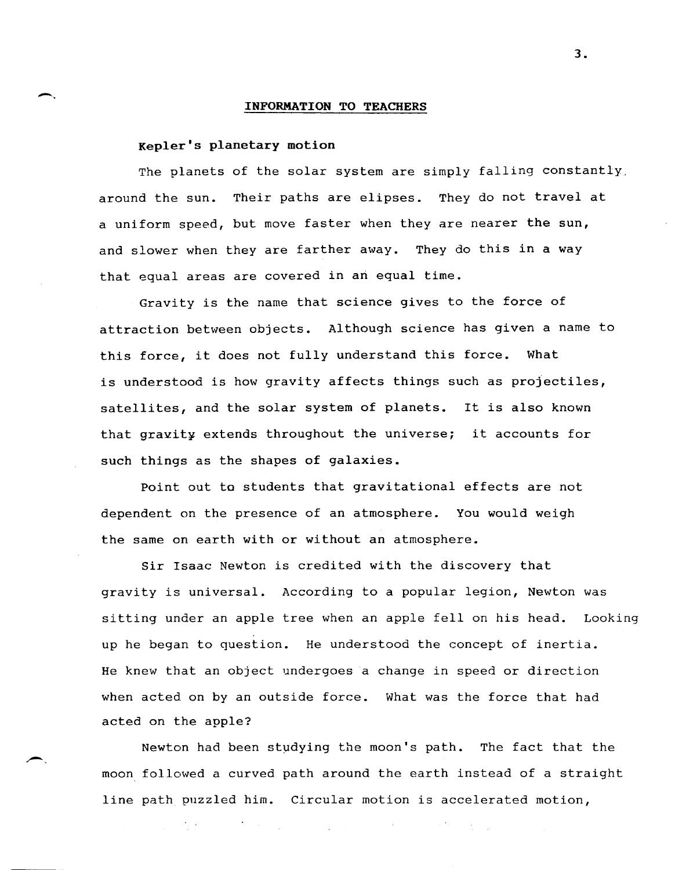## Kepler's planetary motion

-.

The planets of the solar system are simply falling constantly, around the sun. Their paths are elipses. They do not travel at a uniform speed, but move faster when they are nearer the sun, and slower when they are farther away. They do this in a way that equal areas are covered in an equal time.

Gravity is the name that science gives to the force of attraction between objects. Although science has given a name to this force, it does not fully understand this force. What is understood is how gravity affects things such as projectiles, satellites, and the solar system of planets. It is also known that gravity extends throughout the universe; it accounts for such things as the shapes of galaxies.

Point out to students that gravitational effects are not dependent on the presence of an atmosphere. You would weigh the same on earth with or without an atmosphere.

Sir Isaac Newton is credited with the discovery that gravity is universal. According to a popular legion, Newton was sitting under an apple tree when an apple fell on his head. Looking up he began to question. He understood the concept of inertia. He knew that an object undergoes a change in speed or direction when acted on by an outside force. What was the force that had acted on the apple?

Newton had been studying the moon's path. The fact that the moon followed a curved path around the earth instead of a straight line path puzzled him. Circular motion is accelerated motion,

 $\mathcal{L}^{\mathcal{L}}_{\mathcal{L}}$  and the contribution of the contribution of the contribution of the contribution of the contribution of the contribution of the contribution of the contribution of the contribution of the contributi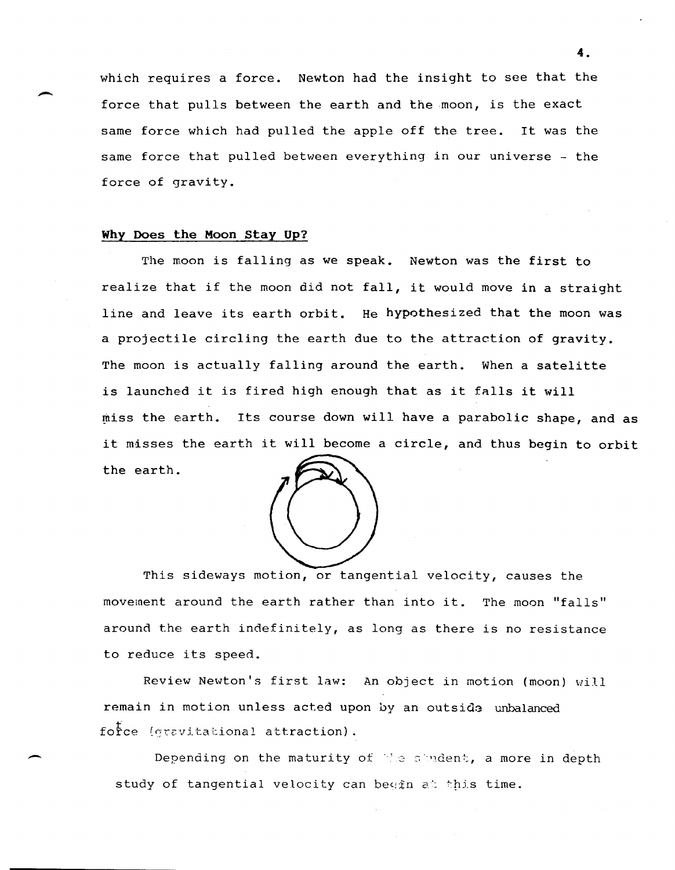which requires a force. Newton had the insight to see that the force that pulls between the earth and the moon, is the exact same force which had pulled the apple off the tree. It was the same force that pulled between everything in our universe - the force of gravity.

## Why Does the Moon stay Up?

 $\overline{\phantom{a}}$ 

-

The moon is falling as we speak. Newton was the first to realize that if the moon did not fall, it would move in a straight line and leave its earth orbit. He hypothesized that the moon was a projectile circling the earth due to the attraction of gravity. The moon is actually falling around the earth. When a satelitte is launched it is fired high enough that as it falls it will miss the earth. Its course down will have a parabolic shape, and as it misses the earth it will become a circle, and thus begin to orbit the earth.



This sideways motion, or tangential velocity, causes the movement around the earth rather than into it. The moon "falls" around the earth indefinitely, as long as there is no resistance to reduce its speed.

Review Newton's first law: An object in motion (moon) will remain in motion unless acted upon by an outside unbalanced force (gravitational attraction).

Depending on the maturity of the student, a more in depth study of tangential velocity can begin at this time.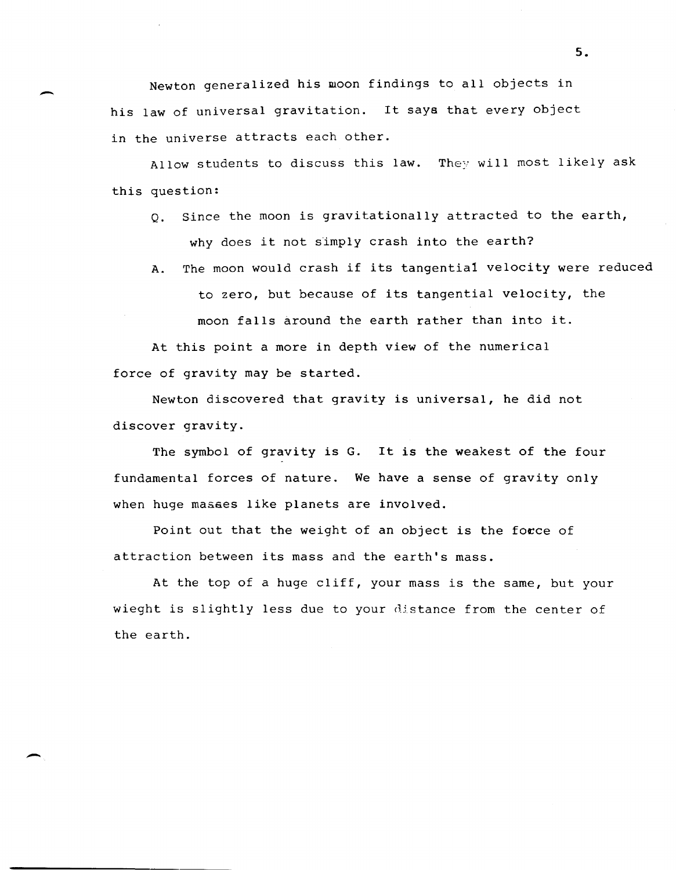Newton generalized his moon findings to all objects in his law of universal gravitation. It says that every object in the universe attracts each other.

Allow students to discuss this law. They will most likely ask this question:

- $Q<sub>0</sub>$ . Since the moon is gravitationally attracted to the earth, why does it not simply crash into the earth?
- A. The moon would crash if its tangentia1 velocity were reduced to zero, but because of its tangential velocity, the moon falls around the earth rather than into it.

At this point a more in depth view of the numerical force of gravity may be started.

Newton discovered that gravity is universal, he did not discover gravity.

The symbol of gravity is G. It is the weakest of the four fundamental forces of nature. We have a sense of gravity only when huge masaes like planets are involved.

Point out that the weight of an object is the force of attraction between its mass and the earth's mass.

At the top of a huge cliff, your mass is the same, but your wieght is slightly less due to your distance from the center of the earth.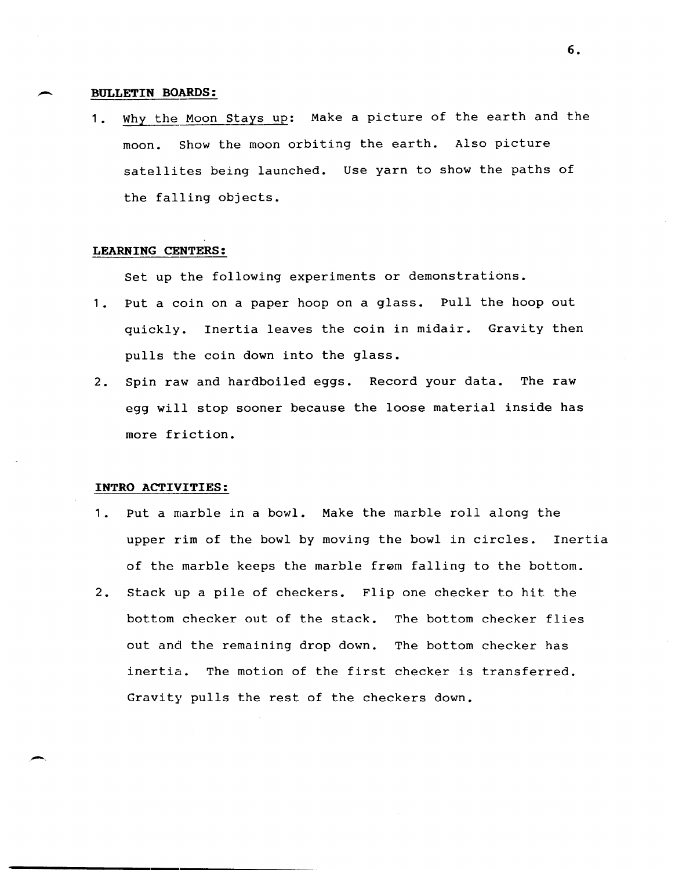#### ~ **BULLETIN BOARDS:**

**1.** why the Moon stays up: Make a picture of the earth and the moon. Show the moon orbiting the earth. Also picture satellites being launched. Use yarn to show the paths of the falling objects.

#### **LEARNING CENTERS:**

Set up the following experiments or demonstrations.

- **1.** Put a coin on a paper hoop on a glass. Pull the hoop out quickly. Inertia leaves the coin in midair. Gravity then pulls the coin down into the glass.
- 2. Spin raw and hardboiled eggs. Record your data. The raw egg will stop sooner because the loose material inside has more friction.

#### **INTRO ACTIVITIES:**

- **1.** Put a marble in a bowl. Make the marble roll along the upper rim of the bowl by moving the bowl in circles. Inertia of the marble keeps the marble from falling to the bottom.
- 2. Stack up a pile of checkers. Flip one checker to hit the bottom checker out of the stack. The bottom checker flies out and the remaining drop down. The bottom checker has inertia. The motion of the first checker is transferred. Gravity pulls the rest of the checkers down.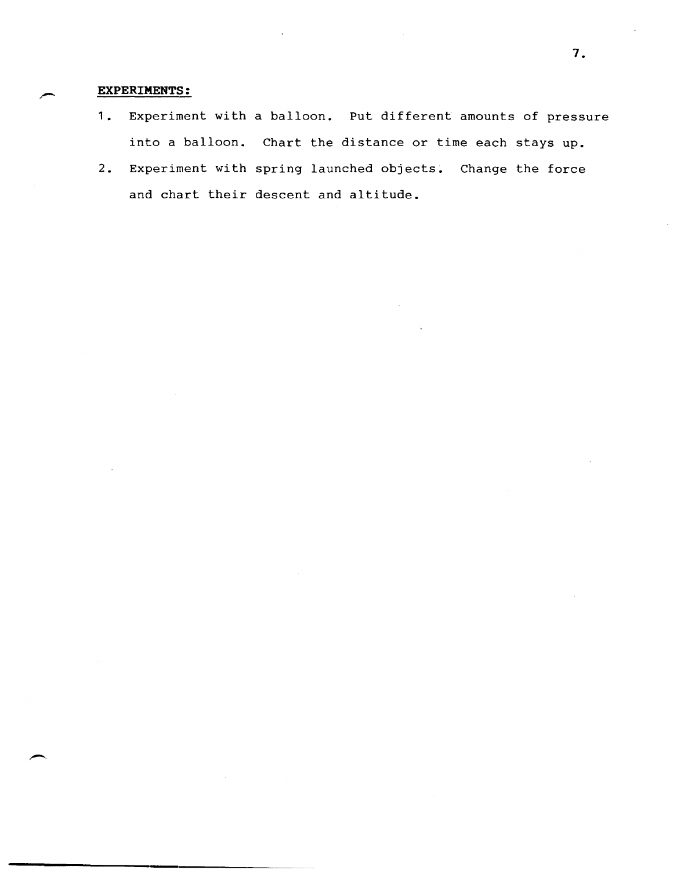## **EXPERIMENTS:**

- 1. Experiment with a balloon. Put different amounts of pressure into a balloon. Chart the distance or time each stays up.
- 2. Experiment with spring launched objects. Change the force and chart their descent and altitude.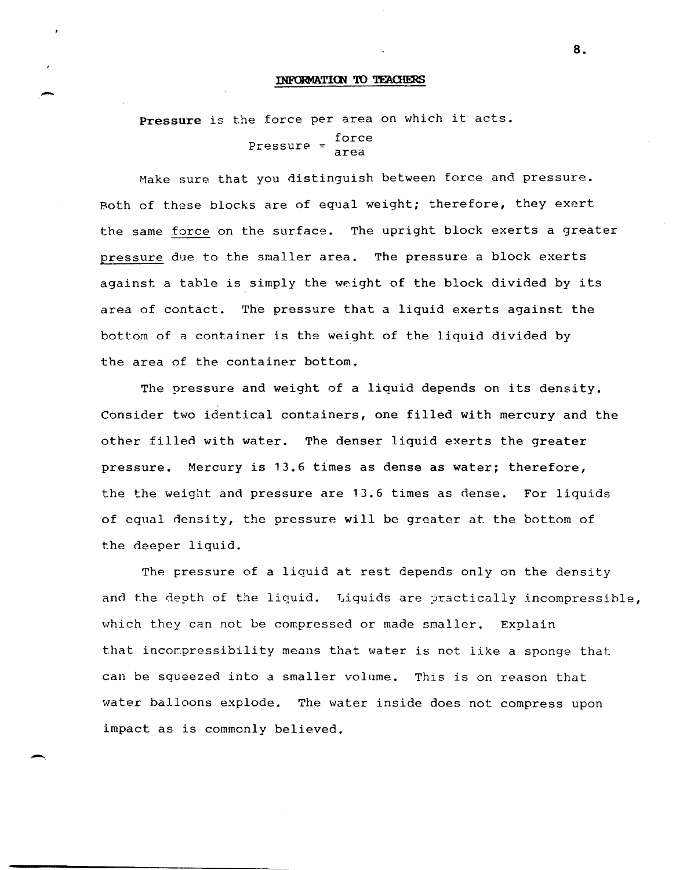**Pressure** is the force per area on which it acts. Pressure =  $\frac{force}{area}$ 

-

-

Make sure that you distinguish between force and pressure. Both of these blocks are of equal weight; therefore, they exert the same force on the surface. The upright block exerts a greater pressure due to the smaller area. The pressure a block exerts against a table is simply the weight of the block divided by its area of contact. The pressure that a liquid exerts against the bottom of a container is the weight of the liquid divided by the area of the container bottom.

The pressure and weight of a liquid depends on its density. Consider two identical containers, one filled with mercury and the other filled with water. The denser liquid exerts the greater pressure. Mercury is 13.6 times as dense as water; therefore, the the weight and pressure are 13.6 times as dense. For liquids of equal density, the pressure will be greater at the bottom of the deeper liquid.

The pressure of a liquid at rest depends only on the density and the depth of the liquid. Liquids are practically incompressible, which they can not be compressed or made smaller. Explain that incompressibility means that water is not like a sponge that can be squeezed into a smaller volume. This is on reason that water balloons explode. The water inside does not compress upon impact as is commonly believed.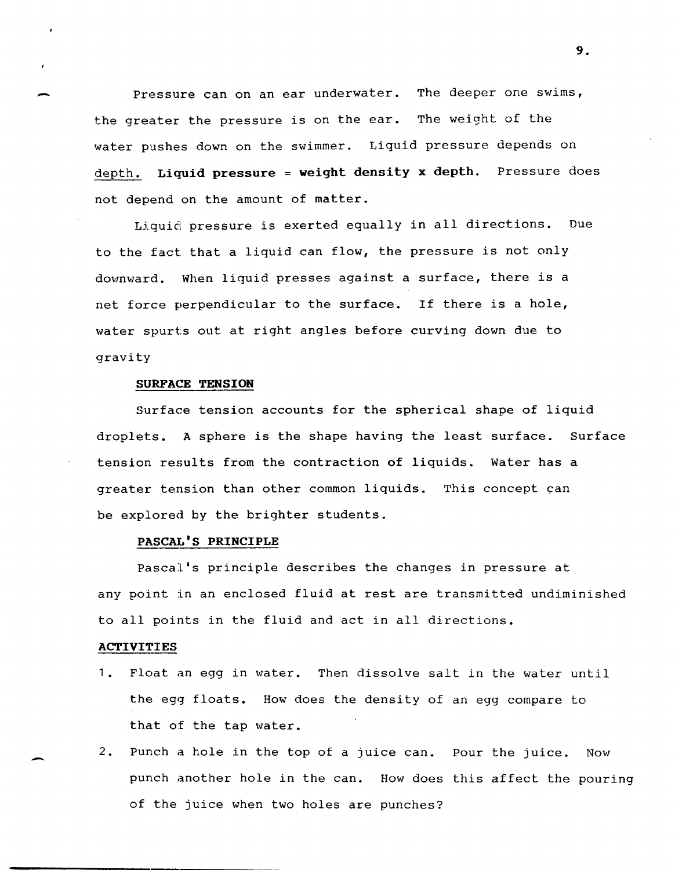Pressure can on an ear underwater. The deeper one swims, the greater the pressure is on the ear. The weight of the water pushes down on the swimmer. Liquid pressure depends on depth. **Liquid pressure = weight density x depth.** Pressure does not depend on the amount of matter.

Liquid pressure is exerted equally in all directions. Due to the fact that a liquid can flow, the pressure is not only downward. When liquid presses against a surface, there is a net force perpendicular to the surface. If there is a hole, water spurts out at right angles before curving down due to gravity

## **SURFACE TENSION**

Surface tension accounts for the spherical shape of liquid droplets. A sphere is the shape having the least surface. Surface tension results from the contraction of liquids. Water has a greater tension than other common liquids. This concept can be explored by the brighter students.

## **PASCAL'S PRINCIPLE**

Pascal's principle describes the changes in pressure at any point in an enclosed fluid at rest are transmitted undiminished to all points in the fluid and act in all directions.

### **ACTIVITIES**

-

- 1. Float an egg in water. Then dissolve salt in the water until the egg floats. How does the density of an egg compare to that of the tap water.
- 2. Punch a hole in the top of a juice can. Pour the juice. Now punch another hole in the can. How does this affect the pouring of the juice when two holes are punches?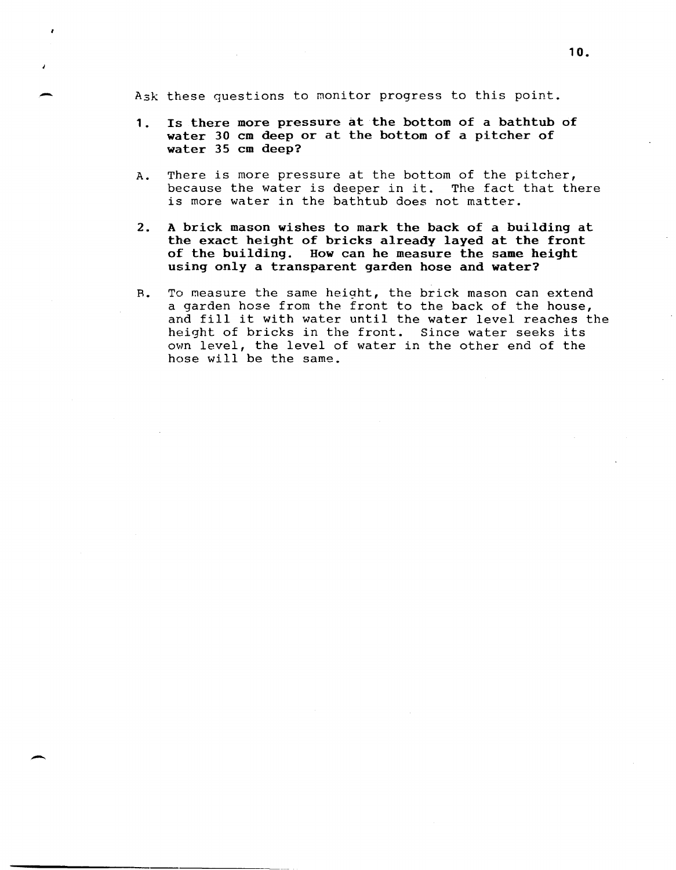A3k these questions to monitor progress to this point.

-

-

- 1. Is there more pressure at the bottom of a bathtub of water 30 cm deep or at the bottom of a pitcher of water 35 cm deep?
- A. There is more pressure at the bottom of the pitcher, because the water is deeper in it. The fact that there is more water in the bathtub does not matter.
- 2. A brick mason wishes to mark the back of a building at the exact height of bricks already layed at the front of the building. How can he measure the same height using only a transparent garden hose and water?
- R. To measure the same height, the brick mason can extend a garden hose from the front to the back of the house, and fill it with water until the water level reaches the height of bricks in the front. Since water seeks its own level, the level of water in the other end of the hose will be the same.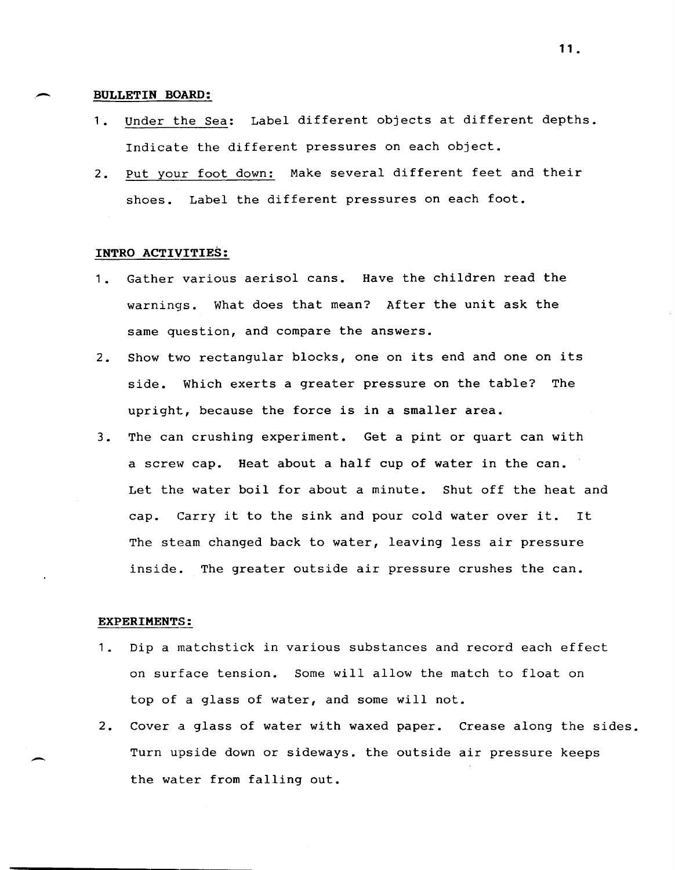#### **- BULLETIN BOARD:**

- 1. Under the Sea: Label different objects at different depths. Indicate the different pressures on each object.
- 2. Put your foot down: Make several different feet and their shoes. Label the different pressures on each foot.

## **INTRO ACTIVITIES:**

- 1. Gather various aerisol cans. Have the children read the warnings. What does that mean? After the unit ask the same question, and compare the answers.
- 2. Show two rectangular blocks, one on its end and one on its side. Which exerts a greater pressure on the table? The upright, because the force is in a smaller area.
- 3. The can crushing experiment. Get a pint or quart can with a screw cap. Heat about a half cup of water in the can. Let the water boil for about a minute. Shut off the heat and cap. Carry it to the sink and pour cold water over it. It The steam changed back to water, leaving less air pressure inside. The greater outside air pressure crushes the can.

#### **EXPERIMENTS:**

-

- 1. Dip a matchstick in various substances and record each effect on surface tension. Some will allow the match to float on top of a glass of water, and some will not.
- 2. Cover a glass of water with waxed paper. Crease along the sides. Turn upside down or sideways. the outside air pressure keeps the water from falling out.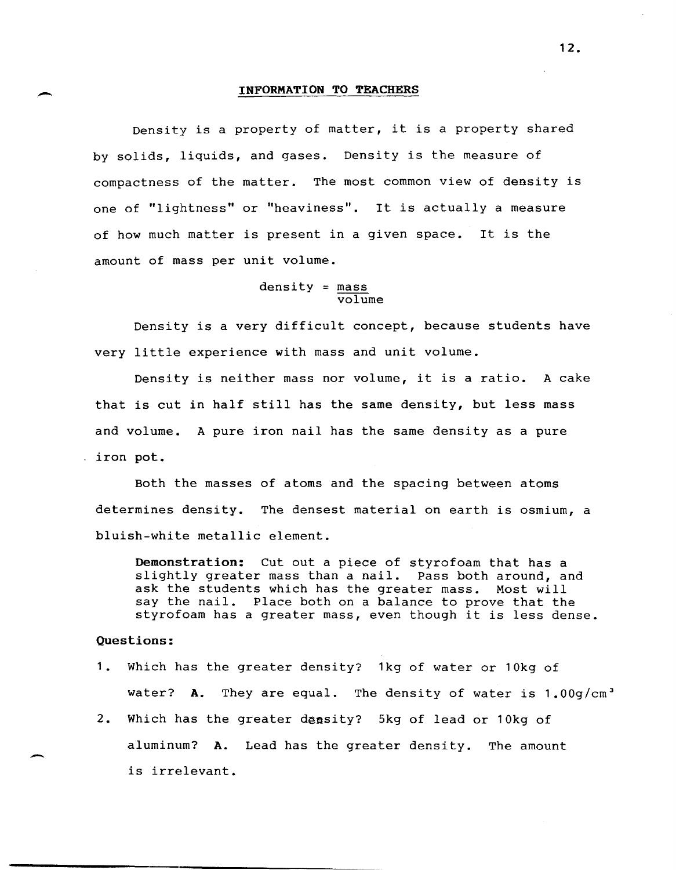Density is a property of matter, it is a property shared by solids, liquids, and gases. Density is the measure of compactness of the matter. The most common view of density is one of "lightness" or "heaviness". It is actually a measure of how much matter is present in a given space. It is the amount of mass per unit volume.

### $density = mass$ volume

Density is a very difficult concept, because students have very little experience with mass and unit volume.

Density is neither mass nor volume, it is a ratio. A cake that is cut in half still has the same density, but less mass and volume. A pure iron nail has the same density as a pure iron pot.

Both the masses of atoms and the spacing between atoms determines density. The densest material on earth is osmium, a bluish-white metallic element.

Demonstration: Cut out a piece of styrofoam that has a slightly greater mass than a nail. Pass both around, and ask the students which has the greater mass. Most will say the nail. Place both on a balance to prove that the styrofoam has a greater mass, even though it is less dense.

### Questions:

-

 $\overline{\phantom{0}}$ 

- 1. Which has the greater density? 1kg of water or 10kg of water? A. They are equal. The density of water is  $1.00g/cm<sup>3</sup>$
- 2. Which has the greater density? 5kg of lead or 10kg of aluminum? A. Lead has the greater density. The amount is irrelevant.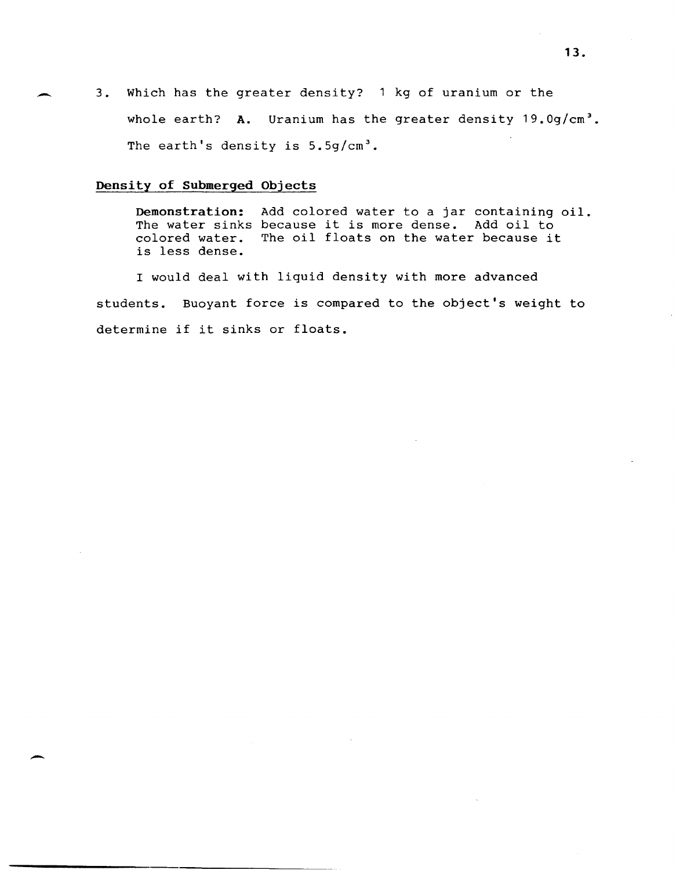3. Which has the greater density? 1 kg of uranium or the whole earth? A. Uranium has the greater density 19.0g/cm<sup>3</sup>. The earth's density is  $5.5g/cm<sup>3</sup>$ .

## **Density of Submerged Objects**

**Demonstration:** Add colored water to a jar containing oil. The water sinks because it is more dense. Add oil to colored water. The oil floats on the water because it is less dense.

I would deal with liquid density with more advanced students. Buoyant force is compared to the object's weight to determine if it sinks or floats.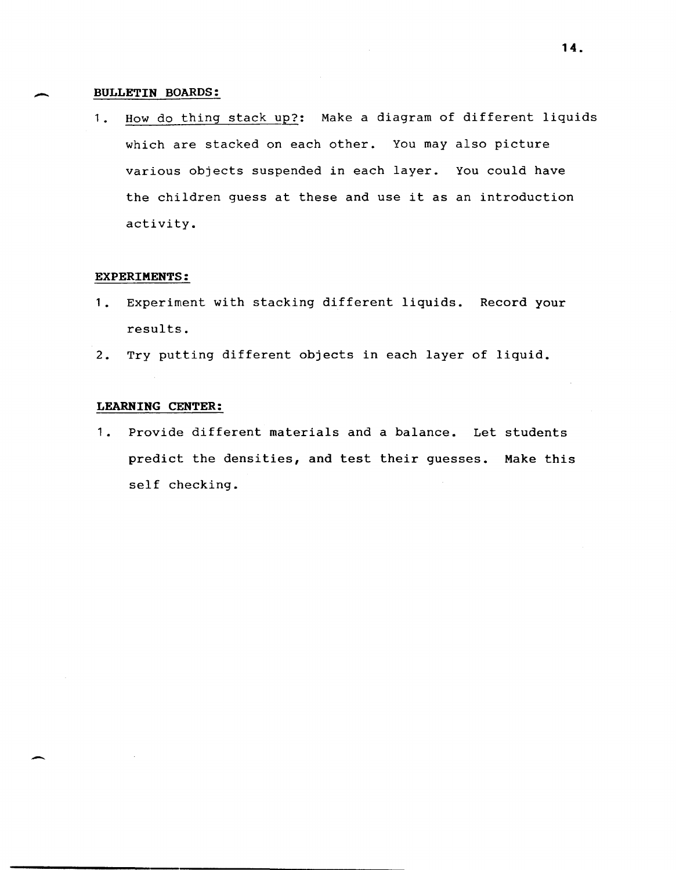## **BULLETIN BOARDS:**

-

-

1. How do thing stack up?: Make a diagram of different liquids which are stacked on each other. You may also picture various objects suspended in each layer. You could have the children guess at these and use it as an introduction activity.

## **EXPERIMENTS:**

- 1. Experiment with stacking different liquids. Record your results.
- 2. Try putting different objects in each layer of liquid.

# **LEARNING CENTER:**

1. Provide different materials and a balance. Let students predict the densities, and test their guesses. Make this self checking.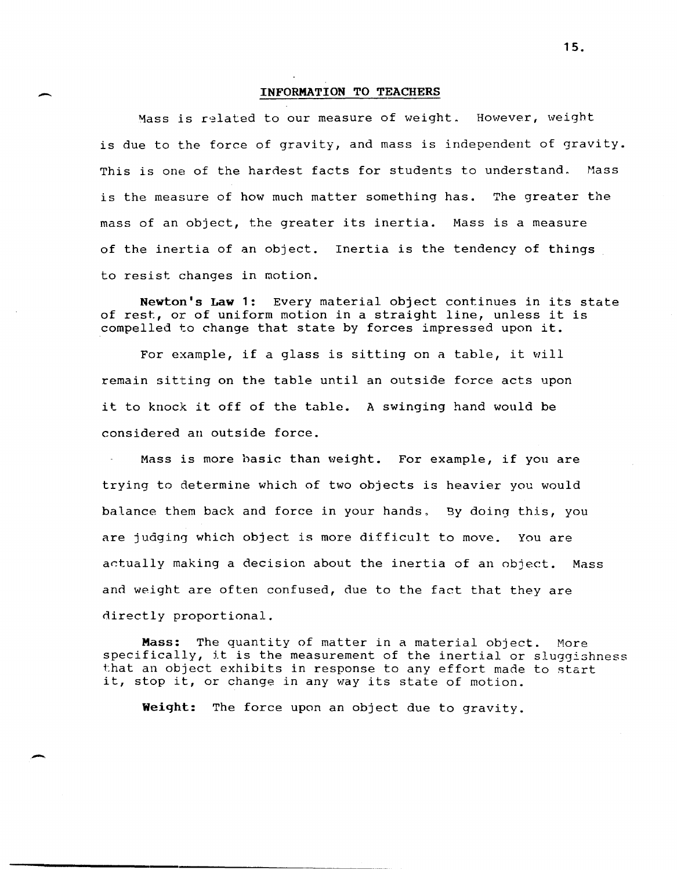$\overline{\phantom{a}}$ 

,-

Mass is related to our measure of weight. However, weight is due to the force of gravity, and mass is independent of gravity. This is one of the hardest facts for students to understand. Mass is the measure of how much matter something has. The greater the mass of an object, the greater its inertia. Mass is a measure of the inertia of an object. Inertia is the tendency of things to resist changes in motion.

Newton's Law 1: Every material object continues in its state of rest, or of uniform motion in a straight line, unless it is compelled to change that state by forces impressed upon it.

For example, if a glass is sitting on a table, it will remain sitting on the table until an outside force acts upon it to knock it off of the table. A swinging hand would be considered an outside force.

Mass is more hasic than weight. For example, if you are trying to determine which of two objects is heavier you would balance them back and force in your hands, Sy doing this, you are judging which object is more difficult to move. You are actually making a decision about the inertia of an object. Mass and weight are often confused, due to the fact that they are directly proportional.

Mass: The quantity of matter in a material object. More specifically, it is the measurement of the inertial or sluggishness that an object exhibits in response to any effort made to start it, stop it, or change in any way its state of motion.

Weiqht: The force upon an object due to gravity.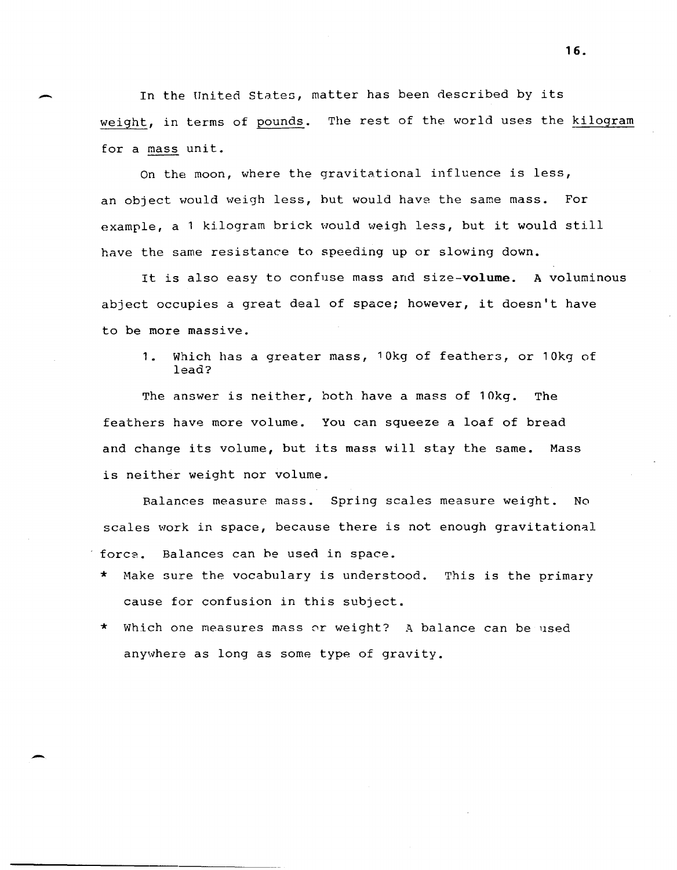In the United states, matter has been described by its weight, in terms of pounds. The rest of the world uses the kilogram for a mass unit.

 $\overline{\phantom{0}}$ 

-

On the moon, where the gravitational influence is less, an object would weigh less, hut would have the same mass. For example, a 1 kilogram brick would weigh less, but it would still have the same resistance to speeding up or slowing down.

It is also easy to confuse mass and size-volume. A voluminous abject occupies a great deal of space; however, it doesn't have to be more massive.

**1.** Which has a greater mass, 10kg of feathers, or 10kg of lead?

The answer is neither, both have a mass of 10kg. The feathers have more volume. You can squeeze a loaf of bread and change its volume, but its mass will stay the same. Mass is neither weight nor volume.

Balances measure mass. Spring scales measure weight. No scales work in space, because there is not enough gravitational force. Balances can he used in space.

- \* Make sure the vocabulary is understood. This is the primary cause for confusion in this subject.
- \* Which one measures mass or weight? A balance can be used anywhere as long as some type of gravity.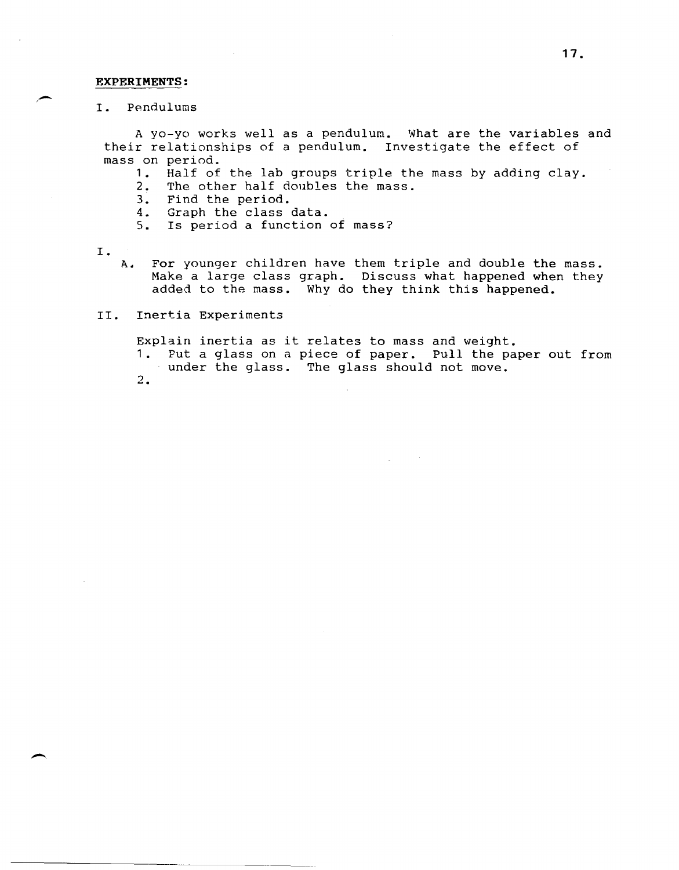#### **EXPERIMENTS:**

I. Pendulums

A yo-yo works well as a pendulum. What are the variables and their relationships of a pendulum. Investigate the effect of mass on period.

- 1. Half of the lab groups triple the mass by adding clay.
- 2. The other half doubles the mass.
- 3. Find the period.<br>4. Graph the class
- 4. Graph the class data.<br>5. Is period a function
- Is period a function of mass?
- I .
	- A. For younger children have them triple and double the mass. Make a large class graph. Discuss what happened when they added to the mass. Why do they think this happened.
- II. Inertia Experiments

Explain inertia as it relates to mass and weight.

- 1. Put a glass on a piece of paper. Pull the paper out from under the glass. The glass should not move.
- 2.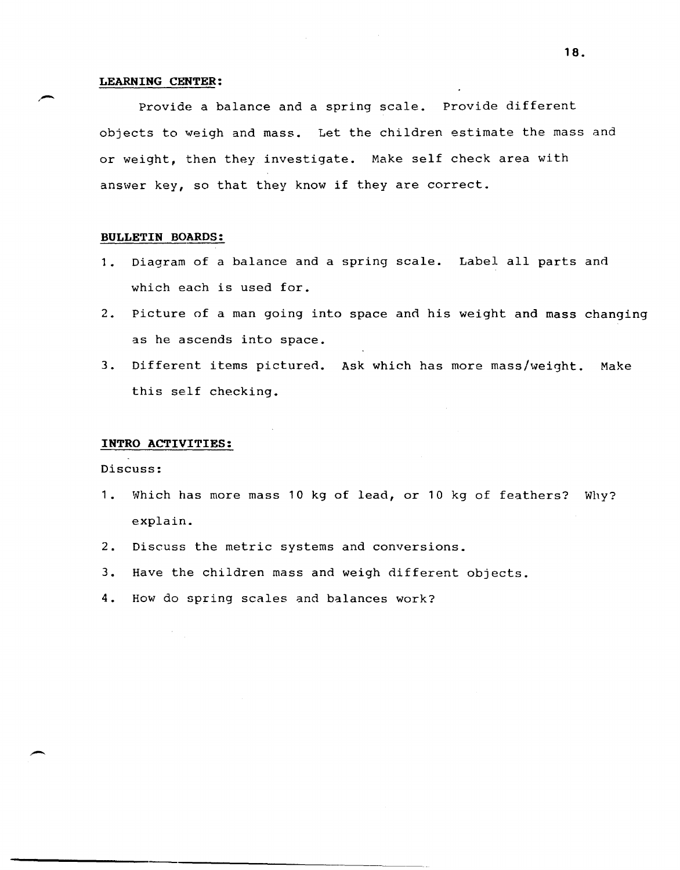## **LEARNING CENTER:**

Provide a balance and a spring scale. Provide different objects to weigh and mass. Let the children estimate the mass and or weight, then they investigate. Make self check area with answer key, so that they know if they are correct.

## **BULLETIN BOARDS:**

- 1. Diagram of a balance and a spring scale. Label all parts and which each is used for.
- 2. Picture of a man going into space and his weight and mass changing as he ascends into space.
- 3. Different items pictured. Ask which has more mass/weight. Make this self checking.

## **INTRO ACTIVITIES:**

Discuss:

-.

- 1. Which has more mass 10 kg of lead, or 10 kg of feathers? Why? explain.
- 2. Discuss the metric systems and conversions.
- 3. Have the children mass and weigh different objects.
- 4. How do spring scales and balances work?